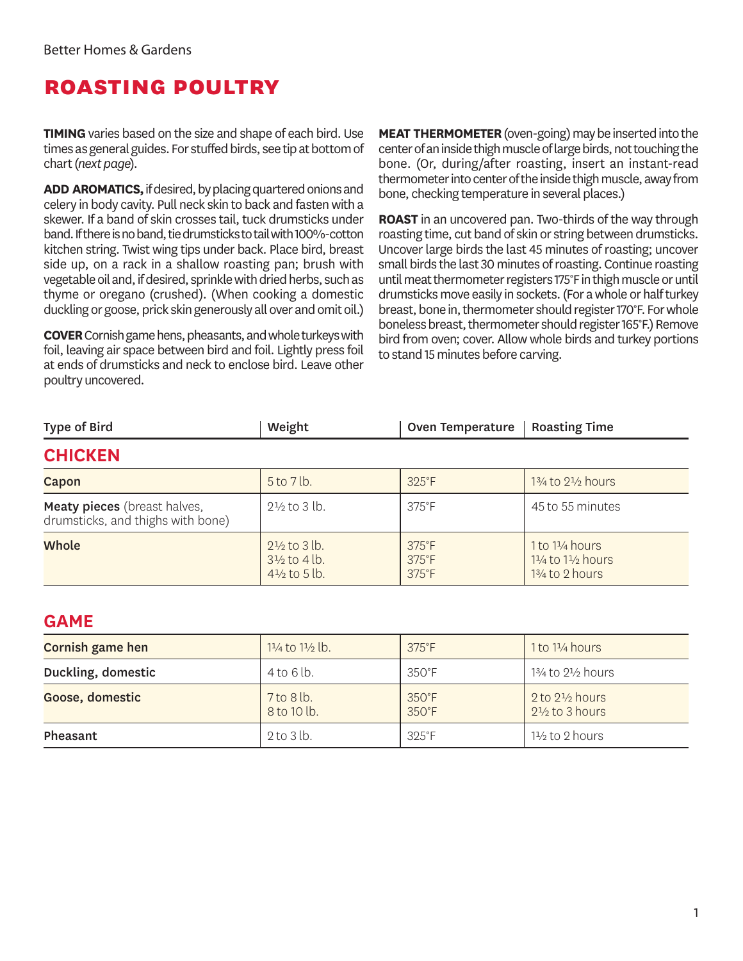## **roasting poultry**

**TIMING** varies based on the size and shape of each bird. Use times as general guides. For stuffed birds, see tip at bottom of chart (*next page*).

**ADD AROMATICS,** if desired, by placing quartered onions and celery in body cavity. Pull neck skin to back and fasten with a skewer. If a band of skin crosses tail, tuck drumsticks under band. If there is no band, tie drumsticks to tail with 100%-cotton kitchen string. Twist wing tips under back. Place bird, breast side up, on a rack in a shallow roasting pan; brush with vegetable oil and, if desired, sprinkle with dried herbs, such as thyme or oregano (crushed). (When cooking a domestic duckling or goose, prick skin generously all over and omit oil.)

**COVER** Cornish game hens, pheasants, and whole turkeys with foil, leaving air space between bird and foil. Lightly press foil at ends of drumsticks and neck to enclose bird. Leave other poultry uncovered.

**MEAT THERMOMETER** (oven-going) may be inserted into the center of an inside thigh muscle of large birds, not touching the bone. (Or, during/after roasting, insert an instant-read thermometer into center of the inside thigh muscle, away from bone, checking temperature in several places.)

**ROAST** in an uncovered pan. Two-thirds of the way through roasting time, cut band of skin or string between drumsticks. Uncover large birds the last 45 minutes of roasting; uncover small birds the last 30 minutes of roasting. Continue roasting until meat thermometer registers 175°F in thigh muscle or until drumsticks move easily in sockets. (For a whole or half turkey breast, bone in, thermometer should register 170°F. For whole boneless breast, thermometer should register 165°F.) Remove bird from oven; cover. Allow whole birds and turkey portions to stand 15 minutes before carving.

| <b>Type of Bird</b>                                                      | Weight                                                                        | <b>Oven Temperature</b>                            | <b>Roasting Time</b>                                                         |
|--------------------------------------------------------------------------|-------------------------------------------------------------------------------|----------------------------------------------------|------------------------------------------------------------------------------|
| <b>CHICKEN</b>                                                           |                                                                               |                                                    |                                                                              |
| Capon                                                                    | 5 to 7 lb.                                                                    | $325^{\circ}F$                                     | $1\frac{3}{4}$ to $2\frac{1}{2}$ hours                                       |
| <b>Meaty pieces</b> (breast halves,<br>drumsticks, and thighs with bone) | $2\frac{1}{2}$ to 3 lb.                                                       | $375^{\circ}$ F                                    | 45 to 55 minutes                                                             |
| <b>Whole</b>                                                             | $2\frac{1}{2}$ to 3 lb.<br>$3\frac{1}{2}$ to 4 lb.<br>$4\frac{1}{2}$ to 5 lb. | $375^{\circ}F$<br>$375^{\circ}F$<br>$375^{\circ}F$ | 1 to 11/4 hours<br>$1\frac{1}{4}$ to $1\frac{1}{2}$ hours<br>13/4 to 2 hours |

#### **GAME**

| Cornish game hen   | $1\frac{1}{4}$ to $1\frac{1}{2}$ lb. | $375^{\circ}F$                     | $1$ to $1\frac{1}{4}$ hours                            |
|--------------------|--------------------------------------|------------------------------------|--------------------------------------------------------|
| Duckling, domestic | 4 to 6 lb.                           | $350^{\circ}$ F                    | 13⁄4 to 21⁄2 hours                                     |
| Goose, domestic    | 7 to 8 lb.<br>8 to 10 lb.            | $350^{\circ}$ F<br>$350^{\circ}$ F | 2 to $2\frac{1}{2}$ hours<br>$2\frac{1}{2}$ to 3 hours |
| Pheasant           | $2$ to $3$ lb.                       | $325^{\circ}$ F                    | $1\frac{1}{2}$ to 2 hours                              |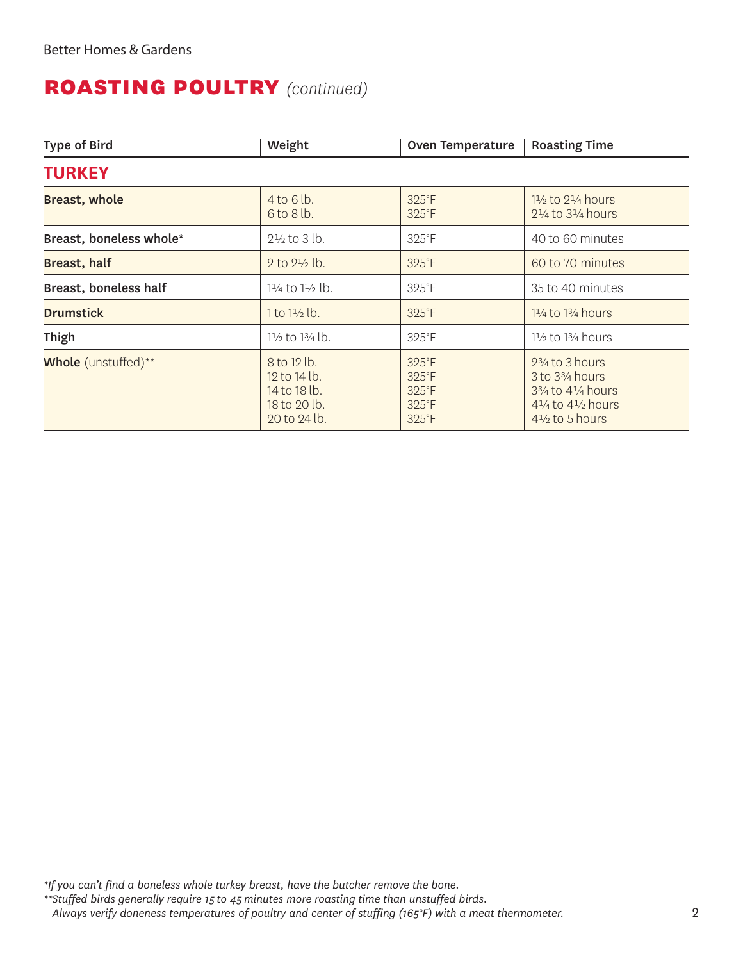#### **roasting poultry** *(continued)*

| <b>Type of Bird</b>        | Weight                                                                            | <b>Oven Temperature</b>                                               | <b>Roasting Time</b>                                                                                                                                                                       |
|----------------------------|-----------------------------------------------------------------------------------|-----------------------------------------------------------------------|--------------------------------------------------------------------------------------------------------------------------------------------------------------------------------------------|
| <b>TURKEY</b>              |                                                                                   |                                                                       |                                                                                                                                                                                            |
| <b>Breast, whole</b>       | $4$ to 6 lb.<br>$6$ to $8$ lb.                                                    | $325^{\circ}F$<br>325°F                                               | $1\frac{1}{2}$ to $2\frac{1}{4}$ hours<br>$2\frac{1}{4}$ to $3\frac{1}{4}$ hours                                                                                                           |
| Breast, boneless whole*    | $2\frac{1}{2}$ to 3 lb.                                                           | 325°F                                                                 | 40 to 60 minutes                                                                                                                                                                           |
| Breast, half               | 2 to $2\frac{1}{2}$ lb.                                                           | 325°F                                                                 | 60 to 70 minutes                                                                                                                                                                           |
| Breast, boneless half      | 11/4 to 11/2 lb.                                                                  | 325°F                                                                 | 35 to 40 minutes                                                                                                                                                                           |
| <b>Drumstick</b>           | $1$ to $1\frac{1}{2}$ lb.                                                         | 325°F                                                                 | $1\frac{1}{4}$ to $1\frac{3}{4}$ hours                                                                                                                                                     |
| Thigh                      | 1½ to 1¾ lb.                                                                      | 325°F                                                                 | $1\frac{1}{2}$ to $1\frac{3}{4}$ hours                                                                                                                                                     |
| <b>Whole</b> (unstuffed)** | $8$ to 12 lb.<br>$12$ to $14$ lb.<br>14 to 18 lb.<br>18 to 20 lb.<br>20 to 24 lb. | 325°F<br>325°F<br>$325^{\circ}F$<br>$325^{\circ}$ F<br>$325^{\circ}F$ | $2\frac{3}{4}$ to 3 hours<br>3 to 3 <sup>3</sup> / <sub>4</sub> hours<br>$3\frac{3}{4}$ to $4\frac{1}{4}$ hours<br>41/ <sub>4</sub> to 41/ <sub>2</sub> hours<br>$4\frac{1}{2}$ to 5 hours |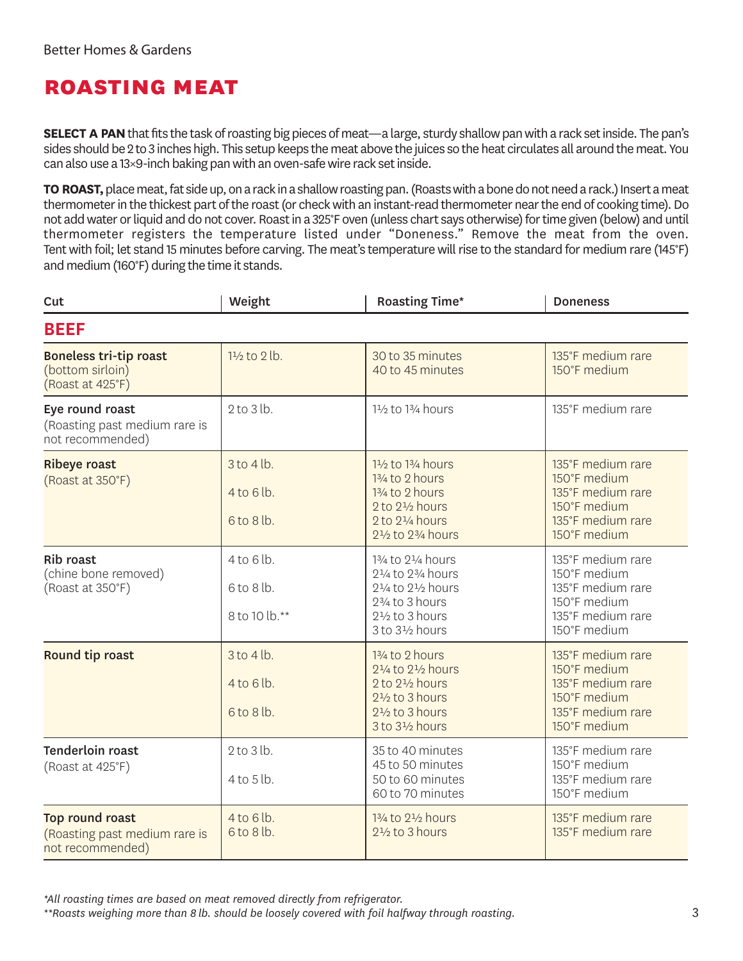#### **roasting meat**

**SELECT A PAN** that fits the task of roasting big pieces of meat—a large, sturdy shallow pan with a rack set inside. The pan's sides should be 2 to 3 inches high. This setup keeps the meat above the juices so the heat circulates all around the meat. You can also use a 13×9-inch baking pan with an oven-safe wire rack set inside.

**TO ROAST,** place meat, fat side up, on a rack in a shallow roasting pan. (Roasts with a bone do not need a rack.) Insert a meat thermometer in the thickest part of the roast (or check with an instant-read thermometer near the end of cooking time). Do not add water or liquid and do not cover. Roast in a 325°F oven (unless chart says otherwise) for time given (below) and until thermometer registers the temperature listed under "Doneness." Remove the meat from the oven. Tent with foil; let stand 15 minutes before carving. The meat's temperature will rise to the standard for medium rare (145°F) and medium (160°F) during the time it stands.

| Cut                                                                   | Weight                                      | <b>Roasting Time*</b>                                                                                                                                                      | <b>Doneness</b>                                                                                             |
|-----------------------------------------------------------------------|---------------------------------------------|----------------------------------------------------------------------------------------------------------------------------------------------------------------------------|-------------------------------------------------------------------------------------------------------------|
| <b>BEEF</b>                                                           |                                             |                                                                                                                                                                            |                                                                                                             |
| <b>Boneless tri-tip roast</b><br>(bottom sirloin)<br>(Roast at 425°F) | $1\frac{1}{2}$ to 2 lb.                     | 30 to 35 minutes<br>40 to 45 minutes                                                                                                                                       | 135°F medium rare<br>150°F medium                                                                           |
| Eye round roast<br>(Roasting past medium rare is<br>not recommended)  | $2$ to $3$ lb.                              | 11/2 to 13/4 hours                                                                                                                                                         | 135°F medium rare                                                                                           |
| <b>Ribeye roast</b><br>(Roast at 350°F)                               | 3 to 4 lb.<br>4 to 6 lb.<br>6 to 8 lb.      | 11/2 to 13/4 hours<br>13/4 to 2 hours<br>13/4 to 2 hours<br>2 to 21/2 hours<br>2 to 21/4 hours<br>21/2 to 23/4 hours                                                       | 135°F medium rare<br>150°F medium<br>135°F medium rare<br>150°F medium<br>135°F medium rare<br>150°F medium |
| <b>Rib roast</b><br>(chine bone removed)<br>(Roast at 350°F)          | $4$ to 6 lb.<br>6 to 8 lb.<br>8 to 10 lb.** | 13/4 to 21/4 hours<br>21/4 to 23/4 hours<br>21/ <sub>4</sub> to 21/ <sub>2</sub> hours<br>23/4 to 3 hours<br>$2\frac{1}{2}$ to 3 hours<br>3 to 31/2 hours                  | 135°F medium rare<br>150°F medium<br>135°F medium rare<br>150°F medium<br>135°F medium rare<br>150°F medium |
| Round tip roast                                                       | $3$ to $4$ lb.<br>4 to 6 lb.<br>6 to 8 lb.  | 13/4 to 2 hours<br>21/ <sub>4</sub> to 2 <sup>1</sup> / <sub>2</sub> hours<br>2 to 21/2 hours<br>$2\frac{1}{2}$ to 3 hours<br>$2\frac{1}{2}$ to 3 hours<br>3 to 31/2 hours | 135°F medium rare<br>150°F medium<br>135°F medium rare<br>150°F medium<br>135°F medium rare<br>150°F medium |
| <b>Tenderloin roast</b><br>(Roast at 425°F)                           | $2$ to $3$ lb.<br>4 to 5 lb.                | 35 to 40 minutes<br>45 to 50 minutes<br>50 to 60 minutes<br>60 to 70 minutes                                                                                               | 135°F medium rare<br>150°F medium<br>135°F medium rare<br>150°F medium                                      |
| Top round roast<br>(Roasting past medium rare is<br>not recommended)  | 4 to 6 lb.<br>6 to 8 lb.                    | 13/4 to 21/2 hours<br>$2\frac{1}{2}$ to 3 hours                                                                                                                            | 135°F medium rare<br>135°F medium rare                                                                      |

*\*All roasting times are based on meat removed directly from refrigerator.*

*\*\*Roasts weighing more than 8 lb. should be loosely covered with foil halfway through roasting.* 3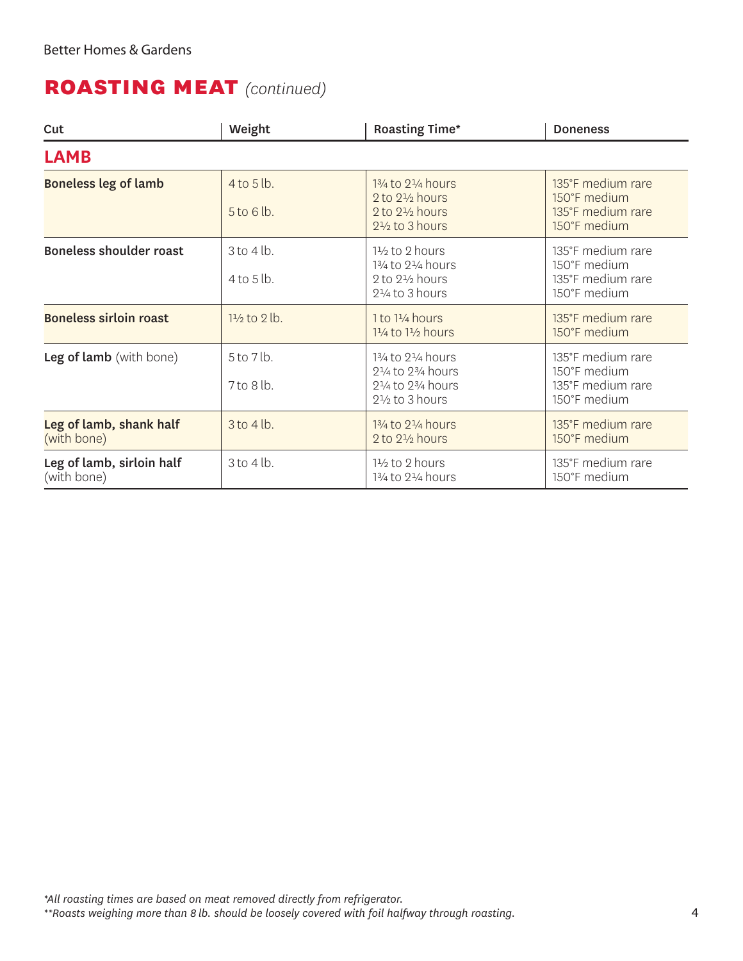## **roasting meat** *(continued)*

| Cut                                      | Weight                           | <b>Roasting Time*</b>                                                                                         | <b>Doneness</b>                                                        |
|------------------------------------------|----------------------------------|---------------------------------------------------------------------------------------------------------------|------------------------------------------------------------------------|
| <b>LAMB</b>                              |                                  |                                                                                                               |                                                                        |
| <b>Boneless leg of lamb</b>              | 4 to 5 lb.<br>5 to 6 lb.         | 13/4 to 21/4 hours<br>$2$ to $2\frac{1}{2}$ hours<br>$2$ to $2\frac{1}{2}$ hours<br>$2\frac{1}{2}$ to 3 hours | 135°F medium rare<br>150°F medium<br>135°F medium rare<br>150°F medium |
| <b>Boneless shoulder roast</b>           | $3$ to $4$ lb.<br>$4$ to $5$ lb. | $1\frac{1}{2}$ to 2 hours<br>13/4 to 21/4 hours<br>2 to $2\frac{1}{2}$ hours<br>$2\frac{1}{4}$ to 3 hours     | 135°F medium rare<br>150°F medium<br>135°F medium rare<br>150°F medium |
| <b>Boneless sirloin roast</b>            | $1\frac{1}{2}$ to 2 lb.          | 1 to 11/4 hours<br>11/ <sub>4</sub> to 11/ <sub>2</sub> hours                                                 | 135°F medium rare<br>150°F medium                                      |
| Leg of lamb (with bone)                  | 5 to 7 lb.<br>7 to 8 lb.         | 13/4 to 21/4 hours<br>21/4 to 23/4 hours<br>21/4 to 23/4 hours<br>$2\frac{1}{2}$ to 3 hours                   | 135°F medium rare<br>150°F medium<br>135°F medium rare<br>150°F medium |
| Leg of lamb, shank half<br>(with bone)   | 3 to 4 lb.                       | 13/4 to 21/4 hours<br>2 to 21/2 hours                                                                         | 135°F medium rare<br>150°F medium                                      |
| Leg of lamb, sirloin half<br>(with bone) | $3$ to $4$ lb.                   | $1\frac{1}{2}$ to 2 hours<br>13/4 to 21/4 hours                                                               | 135°F medium rare<br>150°F medium                                      |